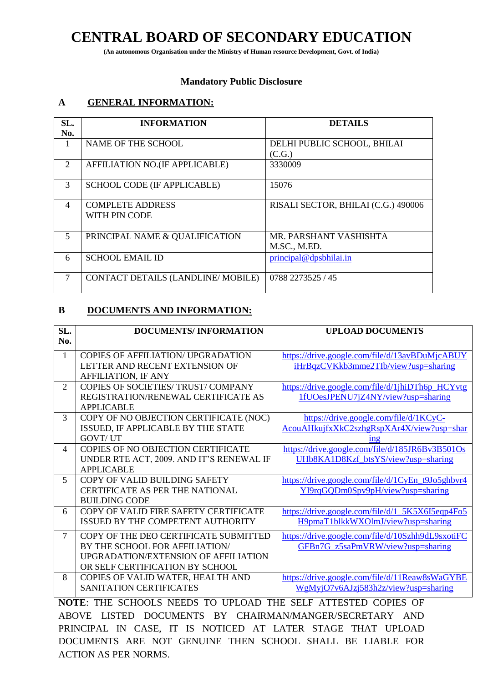## **CENTRAL BOARD OF SECONDARY EDUCATION**

**(An autonomous Organisation under the Ministry of Human resource Development, Govt. of India)**

#### **Mandatory Public Disclosure**

### **A GENERAL INFORMATION:**

| SL.<br>No.     | <b>INFORMATION</b>                       | <b>DETAILS</b>                         |
|----------------|------------------------------------------|----------------------------------------|
| -1             | NAME OF THE SCHOOL                       | DELHI PUBLIC SCHOOL, BHILAI<br>(C.G.)  |
| 2              | AFFILIATION NO.(IF APPLICABLE)           | 3330009                                |
| 3              | <b>SCHOOL CODE (IF APPLICABLE)</b>       | 15076                                  |
| $\overline{4}$ | <b>COMPLETE ADDRESS</b><br>WITH PIN CODE | RISALI SECTOR, BHILAI (C.G.) 490006    |
| $\overline{5}$ | PRINCIPAL NAME & QUALIFICATION           | MR. PARSHANT VASHISHTA<br>M.SC., M.ED. |
| 6              | <b>SCHOOL EMAIL ID</b>                   | principal@dpsbhilai.in                 |
| 7              | CONTACT DETAILS (LANDLINE/MOBILE)        | 0788 2273525 / 45                      |

### **B DOCUMENTS AND INFORMATION:**

| SL.<br>No.                  | <b>DOCUMENTS/INFORMATION</b>              | <b>UPLOAD DOCUMENTS</b>                           |
|-----------------------------|-------------------------------------------|---------------------------------------------------|
|                             |                                           |                                                   |
| $\mathbf{1}$                | <b>COPIES OF AFFILIATION/ UPGRADATION</b> | https://drive.google.com/file/d/13avBDuMjcABUY    |
|                             | LETTER AND RECENT EXTENSION OF            | iHrBqzCVKkb3mme2TIb/view?usp=sharing              |
|                             | <b>AFFILIATION, IF ANY</b>                |                                                   |
| $\mathcal{D}_{\mathcal{L}}$ | COPIES OF SOCIETIES/ TRUST/ COMPANY       | https://drive.google.com/file/d/1jhiDTh6p_HCYvtg  |
|                             | REGISTRATION/RENEWAL CERTIFICATE AS       | 1fUOesJPENU7jZ4NY/view?usp=sharing                |
|                             | <b>APPLICABLE</b>                         |                                                   |
| 3                           | COPY OF NO OBJECTION CERTIFICATE (NOC)    | https://drive.google.com/file/d/1KCyC-            |
|                             | ISSUED, IF APPLICABLE BY THE STATE        | AcouAHkujfxXkC2szhgRspXAr4X/view?usp=shar         |
|                             | <b>GOVT/UT</b>                            | 1n <sub>2</sub>                                   |
| $\Delta$                    | COPIES OF NO OBJECTION CERTIFICATE        | https://drive.google.com/file/d/185JR6Bv3B501Os   |
|                             | UNDER RTE ACT, 2009. AND IT'S RENEWAL IF  | UHb8KA1D8Kzf_btsYS/view?usp=sharing               |
|                             | <b>APPLICABLE</b>                         |                                                   |
| 5                           | COPY OF VALID BUILDING SAFETY             | https://drive.google.com/file/d/1CyEn_t9Jo5ghbvr4 |
|                             | <b>CERTIFICATE AS PER THE NATIONAL</b>    | YI9rqGQDm0Spv9pH/view?usp=sharing                 |
|                             | <b>BUILDING CODE</b>                      |                                                   |
| 6                           | COPY OF VALID FIRE SAFETY CERTIFICATE     | https://drive.google.com/file/d/1_5K5X6I5eqp4Fo5  |
|                             | ISSUED BY THE COMPETENT AUTHORITY         | H9pmaT1blkkWXOlmJ/view?usp=sharing                |
| $\tau$                      | COPY OF THE DEO CERTIFICATE SUBMITTED     | https://drive.google.com/file/d/10Szhh9dL9sxotiFC |
|                             | BY THE SCHOOL FOR AFFILIATION/            | GFBn7G_z5saPmVRW/view?usp=sharing                 |
|                             | UPGRADATION/EXTENSION OF AFFILIATION      |                                                   |
|                             | OR SELF CERTIFICATION BY SCHOOL           |                                                   |
| 8                           | COPIES OF VALID WATER, HEALTH AND         | https://drive.google.com/file/d/11Reaw8sWaGYBE    |
|                             | <b>SANITATION CERTIFICATES</b>            | WgMyjO7v6AJzj583h2z/view?usp=sharing              |
|                             |                                           |                                                   |

**NOTE**: THE SCHOOLS NEEDS TO UPLOAD THE SELF ATTESTED COPIES OF ABOVE LISTED DOCUMENTS BY CHAIRMAN/MANGER/SECRETARY AND PRINCIPAL IN CASE, IT IS NOTICED AT LATER STAGE THAT UPLOAD DOCUMENTS ARE NOT GENUINE THEN SCHOOL SHALL BE LIABLE FOR ACTION AS PER NORMS.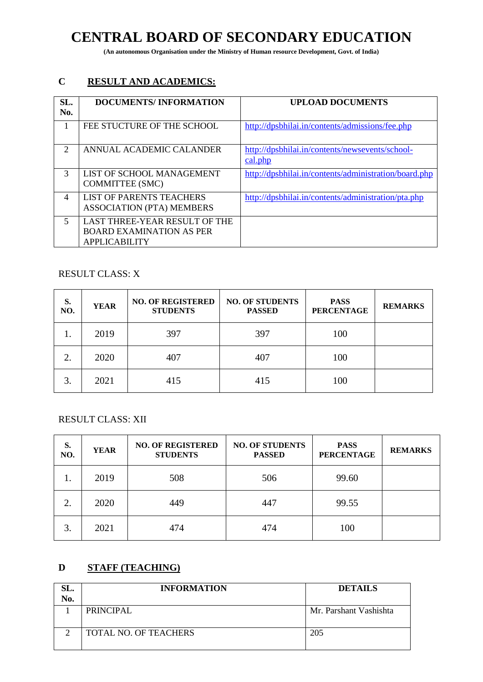# **CENTRAL BOARD OF SECONDARY EDUCATION**

**(An autonomous Organisation under the Ministry of Human resource Development, Govt. of India)**

### **C RESULT AND ACADEMICS:**

| SL.<br>No.                  | <b>DOCUMENTS/INFORMATION</b>                                                             | <b>UPLOAD DOCUMENTS</b>                                    |
|-----------------------------|------------------------------------------------------------------------------------------|------------------------------------------------------------|
|                             | FEE STUCTURE OF THE SCHOOL                                                               | http://dpsbhilai.in/contents/admissions/fee.php            |
| $\mathcal{D}_{\mathcal{L}}$ | ANNUAL ACADEMIC CALANDER                                                                 | http://dpsbhilai.in/contents/newsevents/school-<br>cal.php |
| 3                           | LIST OF SCHOOL MANAGEMENT<br><b>COMMITTEE (SMC)</b>                                      | http://dpsbhilai.in/contents/administration/board.php      |
| $\overline{4}$              | <b>LIST OF PARENTS TEACHERS</b><br><b>ASSOCIATION (PTA) MEMBERS</b>                      | http://dpsbhilai.in/contents/administration/pta.php        |
| 5                           | LAST THREE-YEAR RESULT OF THE<br><b>BOARD EXAMINATION AS PER</b><br><b>APPLICABILITY</b> |                                                            |

### RESULT CLASS: X

| S.<br>NO. | <b>YEAR</b> | <b>NO. OF REGISTERED</b><br><b>STUDENTS</b> | <b>NO. OF STUDENTS</b><br><b>PASSED</b> | <b>PASS</b><br><b>PERCENTAGE</b> | <b>REMARKS</b> |
|-----------|-------------|---------------------------------------------|-----------------------------------------|----------------------------------|----------------|
| 1.        | 2019        | 397                                         | 397                                     | 100                              |                |
| ◠         | 2020        | 407                                         | 407                                     | 100                              |                |
| 3.        | 2021        | 415                                         | 415                                     | 100                              |                |

RESULT CLASS: XII

| S.<br>NO. | <b>YEAR</b> | <b>NO. OF REGISTERED</b><br><b>STUDENTS</b> | <b>NO. OF STUDENTS</b><br><b>PASSED</b> | <b>PASS</b><br><b>PERCENTAGE</b> | <b>REMARKS</b> |
|-----------|-------------|---------------------------------------------|-----------------------------------------|----------------------------------|----------------|
| .,        | 2019        | 508                                         | 506                                     | 99.60                            |                |
| ◠         | 2020        | 449                                         | 447                                     | 99.55                            |                |
| 3.        | 2021        | 474                                         | 474                                     | 100                              |                |

## **D STAFF (TEACHING)**

| SL.<br>No. | <b>INFORMATION</b>    | <b>DETAILS</b>         |
|------------|-----------------------|------------------------|
|            | <b>PRINCIPAL</b>      | Mr. Parshant Vashishta |
|            | TOTAL NO. OF TEACHERS | 205                    |